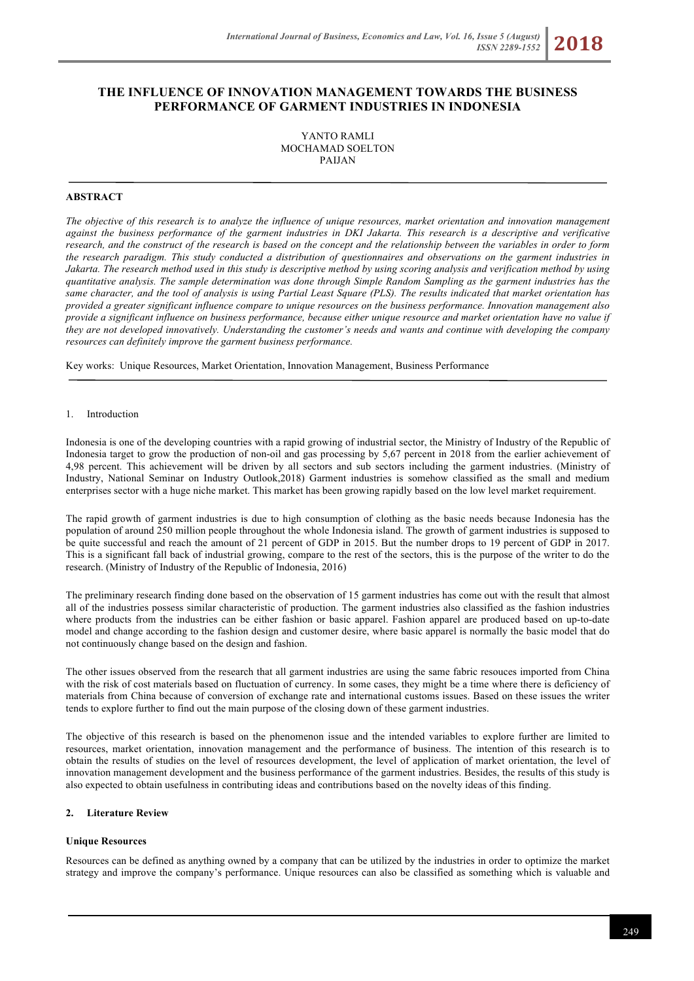# **THE INFLUENCE OF INNOVATION MANAGEMENT TOWARDS THE BUSINESS PERFORMANCE OF GARMENT INDUSTRIES IN INDONESIA**

YANTO RAMLI MOCHAMAD SOELTON PAIJAN

# **ABSTRACT**

*The objective of this research is to analyze the influence of unique resources, market orientation and innovation management*  against the business performance of the garment industries in DKI Jakarta. This research is a descriptive and verificative *research, and the construct of the research is based on the concept and the relationship between the variables in order to form the research paradigm. This study conducted a distribution of questionnaires and observations on the garment industries in Jakarta. The research method used in this study is descriptive method by using scoring analysis and verification method by using quantitative analysis. The sample determination was done through Simple Random Sampling as the garment industries has the same character, and the tool of analysis is using Partial Least Square (PLS). The results indicated that market orientation has provided a greater significant influence compare to unique resources on the business performance. Innovation management also provide a significant influence on business performance, because either unique resource and market orientation have no value if they are not developed innovatively. Understanding the customer's needs and wants and continue with developing the company resources can definitely improve the garment business performance.*

Key works: Unique Resources, Market Orientation, Innovation Management, Business Performance

#### 1. Introduction

Indonesia is one of the developing countries with a rapid growing of industrial sector, the Ministry of Industry of the Republic of Indonesia target to grow the production of non-oil and gas processing by 5,67 percent in 2018 from the earlier achievement of 4,98 percent. This achievement will be driven by all sectors and sub sectors including the garment industries. (Ministry of Industry, National Seminar on Industry Outlook,2018) Garment industries is somehow classified as the small and medium enterprises sector with a huge niche market. This market has been growing rapidly based on the low level market requirement.

The rapid growth of garment industries is due to high consumption of clothing as the basic needs because Indonesia has the population of around 250 million people throughout the whole Indonesia island. The growth of garment industries is supposed to be quite successful and reach the amount of 21 percent of GDP in 2015. But the number drops to 19 percent of GDP in 2017. This is a significant fall back of industrial growing, compare to the rest of the sectors, this is the purpose of the writer to do the research. (Ministry of Industry of the Republic of Indonesia, 2016)

The preliminary research finding done based on the observation of 15 garment industries has come out with the result that almost all of the industries possess similar characteristic of production. The garment industries also classified as the fashion industries where products from the industries can be either fashion or basic apparel. Fashion apparel are produced based on up-to-date model and change according to the fashion design and customer desire, where basic apparel is normally the basic model that do not continuously change based on the design and fashion.

The other issues observed from the research that all garment industries are using the same fabric resouces imported from China with the risk of cost materials based on fluctuation of currency. In some cases, they might be a time where there is deficiency of materials from China because of conversion of exchange rate and international customs issues. Based on these issues the writer tends to explore further to find out the main purpose of the closing down of these garment industries.

The objective of this research is based on the phenomenon issue and the intended variables to explore further are limited to resources, market orientation, innovation management and the performance of business. The intention of this research is to obtain the results of studies on the level of resources development, the level of application of market orientation, the level of innovation management development and the business performance of the garment industries. Besides, the results of this study is also expected to obtain usefulness in contributing ideas and contributions based on the novelty ideas of this finding.

# **2. Literature Review**

#### **Unique Resources**

Resources can be defined as anything owned by a company that can be utilized by the industries in order to optimize the market strategy and improve the company's performance. Unique resources can also be classified as something which is valuable and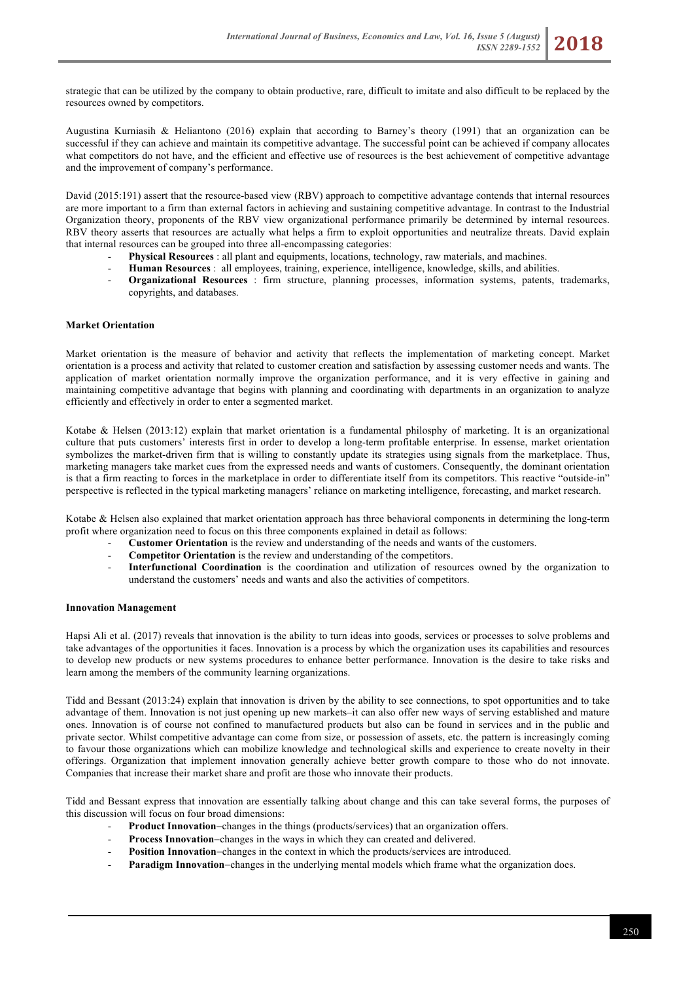strategic that can be utilized by the company to obtain productive, rare, difficult to imitate and also difficult to be replaced by the resources owned by competitors.

Augustina Kurniasih & Heliantono (2016) explain that according to Barney's theory (1991) that an organization can be successful if they can achieve and maintain its competitive advantage. The successful point can be achieved if company allocates what competitors do not have, and the efficient and effective use of resources is the best achievement of competitive advantage and the improvement of company's performance.

David (2015:191) assert that the resource-based view (RBV) approach to competitive advantage contends that internal resources are more important to a firm than external factors in achieving and sustaining competitive advantage. In contrast to the Industrial Organization theory, proponents of the RBV view organizational performance primarily be determined by internal resources. RBV theory asserts that resources are actually what helps a firm to exploit opportunities and neutralize threats. David explain that internal resources can be grouped into three all-encompassing categories:

- **Physical Resources** : all plant and equipments, locations, technology, raw materials, and machines.
- **Human Resources** : all employees, training, experience, intelligence, knowledge, skills, and abilities.
- **Organizational Resources** : firm structure, planning processes, information systems, patents, trademarks, copyrights, and databases.

## **Market Orientation**

Market orientation is the measure of behavior and activity that reflects the implementation of marketing concept. Market orientation is a process and activity that related to customer creation and satisfaction by assessing customer needs and wants. The application of market orientation normally improve the organization performance, and it is very effective in gaining and maintaining competitive advantage that begins with planning and coordinating with departments in an organization to analyze efficiently and effectively in order to enter a segmented market.

Kotabe & Helsen (2013:12) explain that market orientation is a fundamental philosphy of marketing. It is an organizational culture that puts customers' interests first in order to develop a long-term profitable enterprise. In essense, market orientation symbolizes the market-driven firm that is willing to constantly update its strategies using signals from the marketplace. Thus, marketing managers take market cues from the expressed needs and wants of customers. Consequently, the dominant orientation is that a firm reacting to forces in the marketplace in order to differentiate itself from its competitors. This reactive "outside-in" perspective is reflected in the typical marketing managers' reliance on marketing intelligence, forecasting, and market research.

Kotabe & Helsen also explained that market orientation approach has three behavioral components in determining the long-term profit where organization need to focus on this three components explained in detail as follows:

- **Customer Orientation** is the review and understanding of the needs and wants of the customers.
- **Competitor Orientation** is the review and understanding of the competitors.
- **Interfunctional Coordination** is the coordination and utilization of resources owned by the organization to understand the customers' needs and wants and also the activities of competitors.

## **Innovation Management**

Hapsi Ali et al. (2017) reveals that innovation is the ability to turn ideas into goods, services or processes to solve problems and take advantages of the opportunities it faces. Innovation is a process by which the organization uses its capabilities and resources to develop new products or new systems procedures to enhance better performance. Innovation is the desire to take risks and learn among the members of the community learning organizations.

Tidd and Bessant (2013:24) explain that innovation is driven by the ability to see connections, to spot opportunities and to take advantage of them. Innovation is not just opening up new markets–it can also offer new ways of serving established and mature ones. Innovation is of course not confined to manufactured products but also can be found in services and in the public and private sector. Whilst competitive advantage can come from size, or possession of assets, etc. the pattern is increasingly coming to favour those organizations which can mobilize knowledge and technological skills and experience to create novelty in their offerings. Organization that implement innovation generally achieve better growth compare to those who do not innovate. Companies that increase their market share and profit are those who innovate their products.

Tidd and Bessant express that innovation are essentially talking about change and this can take several forms, the purposes of this discussion will focus on four broad dimensions:

- **Product Innovation-changes in the things (products/services) that an organization offers.**
- **Process Innovation–changes in the ways in which they can created and delivered.**
- Position Innovation-changes in the context in which the products/services are introduced.
- **Paradigm Innovation-changes in the underlying mental models which frame what the organization does.**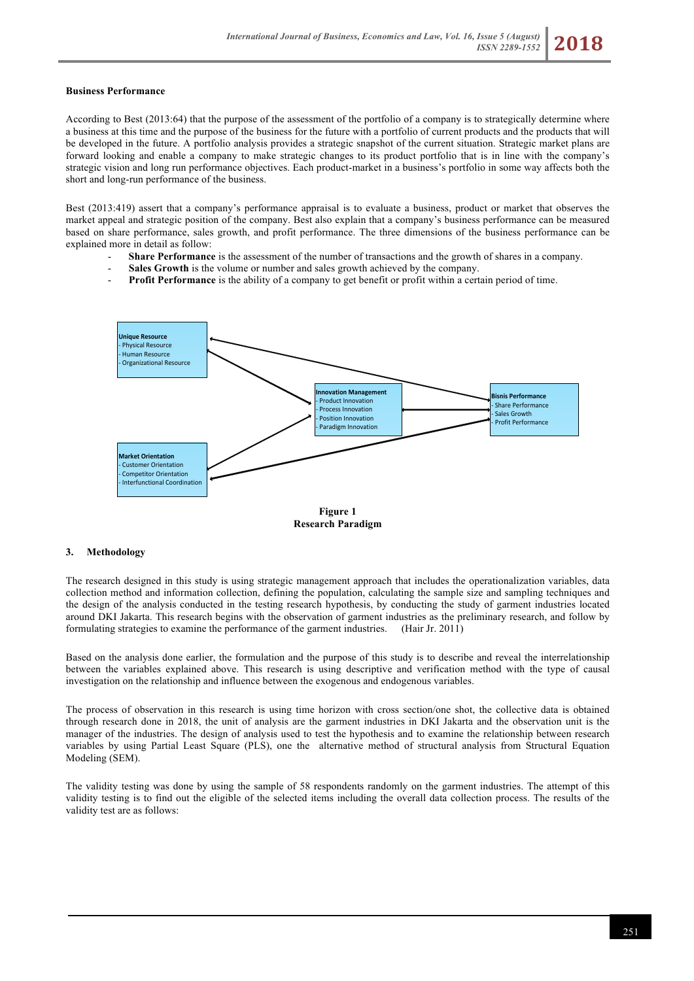## **Business Performance**

According to Best (2013:64) that the purpose of the assessment of the portfolio of a company is to strategically determine where a business at this time and the purpose of the business for the future with a portfolio of current products and the products that will be developed in the future. A portfolio analysis provides a strategic snapshot of the current situation. Strategic market plans are forward looking and enable a company to make strategic changes to its product portfolio that is in line with the company's strategic vision and long run performance objectives. Each product-market in a business's portfolio in some way affects both the short and long-run performance of the business.

Best (2013:419) assert that a company's performance appraisal is to evaluate a business, product or market that observes the market appeal and strategic position of the company. Best also explain that a company's business performance can be measured based on share performance, sales growth, and profit performance. The three dimensions of the business performance can be explained more in detail as follow:

- **Share Performance** is the assessment of the number of transactions and the growth of shares in a company.
- **Sales Growth** is the volume or number and sales growth achieved by the company.
- **Profit Performance** is the ability of a company to get benefit or profit within a certain period of time.



**Research Paradigm**

#### **3. Methodology**

The research designed in this study is using strategic management approach that includes the operationalization variables, data collection method and information collection, defining the population, calculating the sample size and sampling techniques and the design of the analysis conducted in the testing research hypothesis, by conducting the study of garment industries located around DKI Jakarta. This research begins with the observation of garment industries as the preliminary research, and follow by formulating strategies to examine the performance of the garment industries. (Hair Jr. 2011)

Based on the analysis done earlier, the formulation and the purpose of this study is to describe and reveal the interrelationship between the variables explained above. This research is using descriptive and verification method with the type of causal investigation on the relationship and influence between the exogenous and endogenous variables.

The process of observation in this research is using time horizon with cross section/one shot, the collective data is obtained through research done in 2018, the unit of analysis are the garment industries in DKI Jakarta and the observation unit is the manager of the industries. The design of analysis used to test the hypothesis and to examine the relationship between research variables by using Partial Least Square (PLS), one the alternative method of structural analysis from Structural Equation Modeling (SEM).

The validity testing was done by using the sample of 58 respondents randomly on the garment industries. The attempt of this validity testing is to find out the eligible of the selected items including the overall data collection process. The results of the validity test are as follows: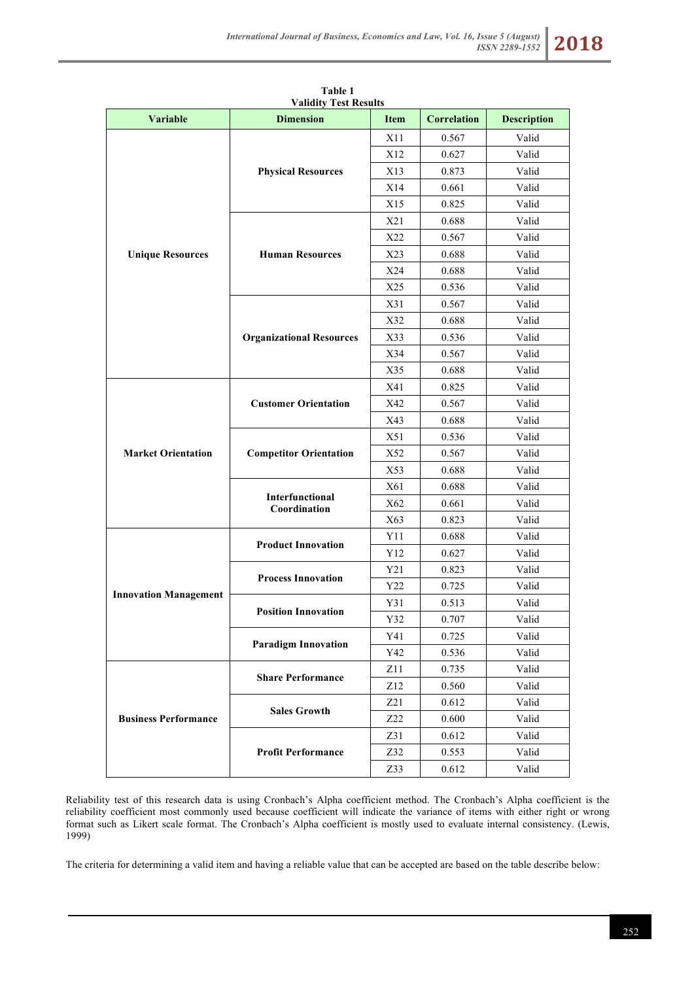| Variable                     | <b>Dimension</b>                | Item | Correlation | <b>Description</b> |
|------------------------------|---------------------------------|------|-------------|--------------------|
|                              |                                 | X11  | 0.567       | Valid              |
|                              |                                 | X12  | 0.627       | Valid              |
|                              | <b>Physical Resources</b>       | X13  | 0.873       | Valid              |
|                              |                                 | X14  | 0.661       | Valid              |
|                              |                                 | X15  | 0.825       | Valid              |
|                              |                                 | X21  | 0.688       | Valid              |
|                              |                                 | X22  | 0.567       | Valid              |
| <b>Unique Resources</b>      | <b>Human Resources</b>          | X23  | 0.688       | Valid              |
|                              |                                 | X24  | 0.688       | Valid              |
|                              |                                 | X25  | 0.536       | Valid              |
|                              |                                 | X31  | 0.567       | Valid              |
|                              |                                 | X32  | 0.688       | Valid              |
|                              | <b>Organizational Resources</b> | X33  | 0.536       | Valid              |
|                              |                                 | X34  | 0.567       | Valid              |
|                              |                                 | X35  | 0.688       | Valid              |
|                              |                                 | X41  | 0.825       | Valid              |
|                              | <b>Customer Orientation</b>     | X42  | 0.567       | Valid              |
|                              |                                 | X43  | 0.688       | Valid              |
|                              | <b>Competitor Orientation</b>   | X51  | 0.536       | Valid              |
| <b>Market Orientation</b>    |                                 | X52  | 0.567       | Valid              |
|                              |                                 | X53  | 0.688       | Valid              |
|                              | Interfunctional<br>Coordination | X61  | 0.688       | Valid              |
|                              |                                 | X62  | 0.661       | Valid              |
|                              |                                 | X63  | 0.823       | Valid              |
|                              | <b>Product Innovation</b>       | Y11  | 0.688       | Valid              |
|                              |                                 | Y12  | 0.627       | Valid              |
| <b>Innovation Management</b> | <b>Process Innovation</b>       | Y21  | 0.823       | Valid              |
|                              |                                 | Y22  | 0.725       | Valid              |
|                              | <b>Position Innovation</b>      | Y31  | 0.513       | Valid              |
|                              |                                 | Y32  | 0.707       | Valid              |
|                              | <b>Paradigm Innovation</b>      | Y41  | 0.725       | Valid              |
|                              |                                 | Y42  | 0.536       | Valid              |
| <b>Business Performance</b>  | <b>Share Performance</b>        | Z11  | 0.735       | Valid              |
|                              |                                 | Z12  | 0.560       | Valid              |
|                              | <b>Sales Growth</b>             | Z21  | 0.612       | Valid              |
|                              |                                 | Z22  | 0.600       | Valid              |
|                              |                                 | Z31  | 0.612       | Valid              |
|                              | <b>Profit Performance</b>       | Z32  | 0.553       | Valid              |
|                              |                                 | Z33  | 0.612       | Valid              |

**Table 1 Validity Test Results**

Reliability test of this research data is using Cronbach's Alpha coefficient method. The Cronbach's Alpha coefficient is the reliability coefficient most commonly used because coefficient will indicate the variance of items with either right or wrong format such as Likert scale format. The Cronbach's Alpha coefficient is mostly used to evaluate internal consistency. (Lewis, 1999)

The criteria for determining a valid item and having a reliable value that can be accepted are based on the table describe below: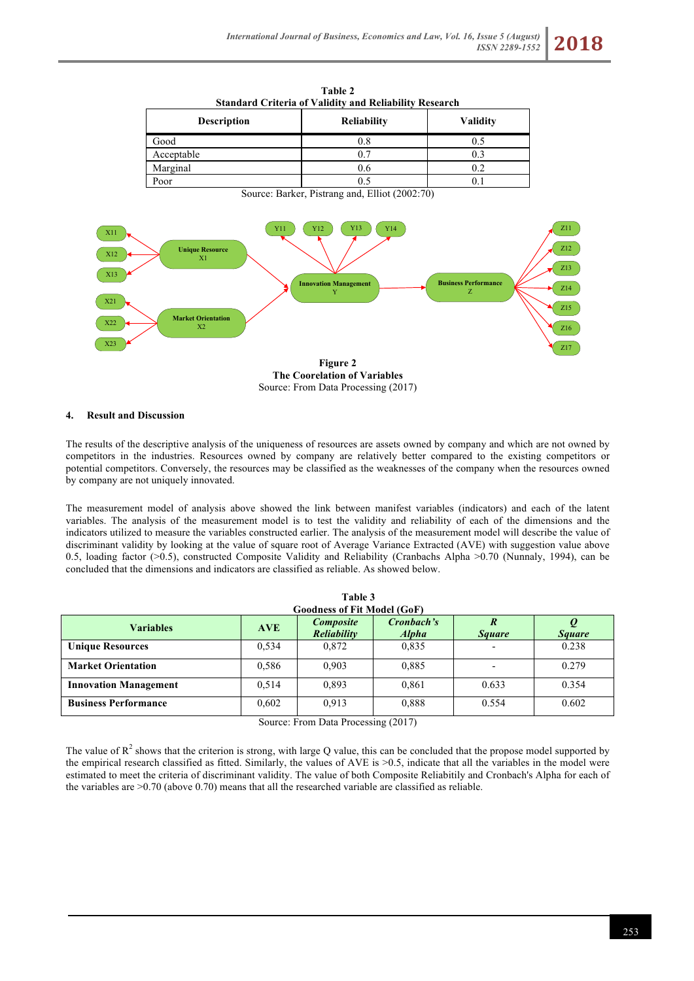| Table 2<br><b>Standard Criteria of Validity and Reliability Research</b> |                    |                 |  |  |
|--------------------------------------------------------------------------|--------------------|-----------------|--|--|
| <b>Description</b>                                                       | <b>Reliability</b> | <b>Validity</b> |  |  |
| Good                                                                     | 0.8                | 0.5             |  |  |
| Acceptable                                                               | 0.7                | 0.3             |  |  |
| Marginal                                                                 | 0.6                | 0.2             |  |  |
| Poor                                                                     | 0.5                |                 |  |  |

Source: Barker, Pistrang and, Elliot (2002:70)



# **4. Result and Discussion**

The results of the descriptive analysis of the uniqueness of resources are assets owned by company and which are not owned by competitors in the industries. Resources owned by company are relatively better compared to the existing competitors or potential competitors. Conversely, the resources may be classified as the weaknesses of the company when the resources owned by company are not uniquely innovated.

The measurement model of analysis above showed the link between manifest variables (indicators) and each of the latent variables. The analysis of the measurement model is to test the validity and reliability of each of the dimensions and the indicators utilized to measure the variables constructed earlier. The analysis of the measurement model will describe the value of discriminant validity by looking at the value of square root of Average Variance Extracted (AVE) with suggestion value above 0.5, loading factor (>0.5), constructed Composite Validity and Reliability (Cranbachs Alpha >0.70 (Nunnaly, 1994), can be concluded that the dimensions and indicators are classified as reliable. As showed below.

| Table 3                            |            |                                 |                            |                                 |               |
|------------------------------------|------------|---------------------------------|----------------------------|---------------------------------|---------------|
| <b>Goodness of Fit Model (GoF)</b> |            |                                 |                            |                                 |               |
| <b>Variables</b>                   | <b>AVE</b> | <b>Composite</b><br>Reliability | Cronbach's<br><b>Alpha</b> | $\overline{R}$<br><b>Square</b> | <b>Square</b> |
| <b>Unique Resources</b>            | 0,534      | 0,872                           | 0,835                      |                                 | 0.238         |
| <b>Market Orientation</b>          | 0,586      | 0.903                           | 0,885                      |                                 | 0.279         |
| <b>Innovation Management</b>       | 0.514      | 0.893                           | 0,861                      | 0.633                           | 0.354         |
| <b>Business Performance</b>        | 0,602      | 0.913                           | 0.888                      | 0.554                           | 0.602         |
|                                    |            |                                 |                            |                                 |               |

Source: From Data Processing (2017)

The value of  $R^2$  shows that the criterion is strong, with large Q value, this can be concluded that the propose model supported by the empirical research classified as fitted. Similarly, the values of AVE is >0.5, indicate that all the variables in the model were estimated to meet the criteria of discriminant validity. The value of both Composite Reliabitily and Cronbach's Alpha for each of the variables are >0.70 (above 0.70) means that all the researched variable are classified as reliable.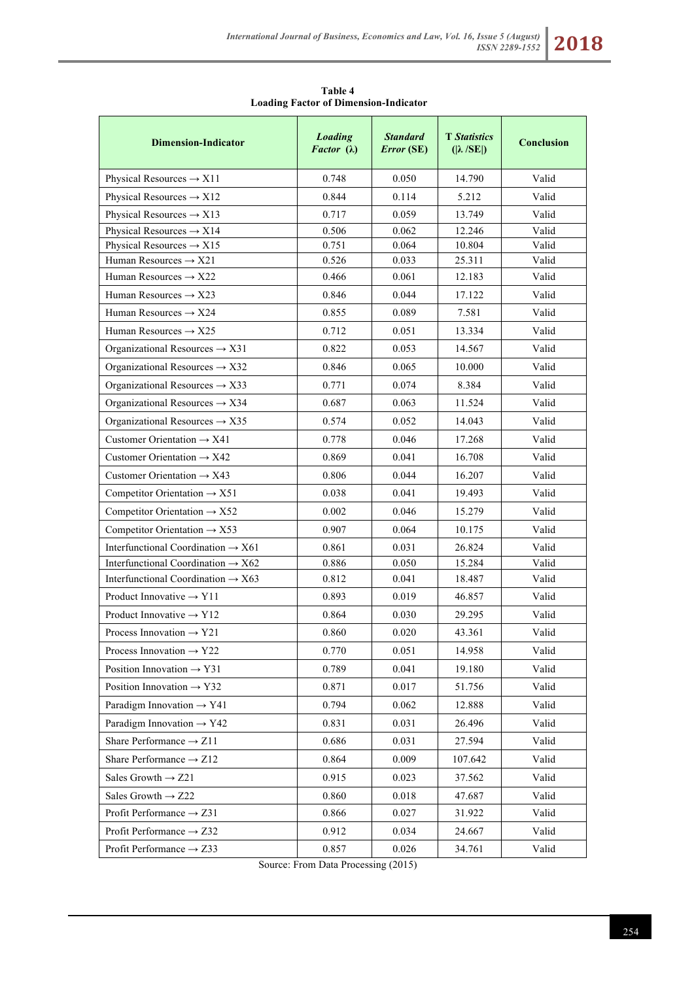**Table 4 Loading Factor of Dimension-Indicator**

| <b>Dimension-Indicator</b>                     | <b>Loading</b><br>Factor $(\lambda)$ | <b>Standard</b><br><b>Error</b> (SE) | <b>T</b> Statistics<br>$( \lambda / SE )$ | <b>Conclusion</b> |
|------------------------------------------------|--------------------------------------|--------------------------------------|-------------------------------------------|-------------------|
| Physical Resources $\rightarrow$ X11           | 0.748                                | 0.050                                | 14.790                                    | Valid             |
| Physical Resources $\rightarrow$ X12           | 0.844                                | 0.114                                | 5.212                                     | Valid             |
| Physical Resources $\rightarrow$ X13           | 0.717                                | 0.059                                | 13.749                                    | Valid             |
| Physical Resources $\rightarrow$ X14           | 0.506                                | 0.062                                | 12.246                                    | Valid             |
| Physical Resources $\rightarrow$ X15           | 0.751                                | 0.064                                | 10.804                                    | Valid             |
| Human Resources $\rightarrow$ X21              | 0.526                                | 0.033                                | 25.311                                    | Valid             |
| Human Resources $\rightarrow$ X22              | 0.466                                | 0.061                                | 12.183                                    | Valid             |
| Human Resources $\rightarrow$ X23              | 0.846                                | 0.044                                | 17.122                                    | Valid             |
| Human Resources $\rightarrow$ X24              | 0.855                                | 0.089                                | 7.581                                     | Valid             |
| Human Resources $\rightarrow$ X25              | 0.712                                | 0.051                                | 13.334                                    | Valid             |
| Organizational Resources $\rightarrow$ X31     | 0.822                                | 0.053                                | 14.567                                    | Valid             |
| Organizational Resources $\rightarrow$ X32     | 0.846                                | 0.065                                | 10.000                                    | Valid             |
| Organizational Resources $\rightarrow$ X33     | 0.771                                | 0.074                                | 8.384                                     | Valid             |
| Organizational Resources $\rightarrow$ X34     | 0.687                                | 0.063                                | 11.524                                    | Valid             |
| Organizational Resources $\rightarrow$ X35     | 0.574                                | 0.052                                | 14.043                                    | Valid             |
| Customer Orientation $\rightarrow$ X41         | 0.778                                | 0.046                                | 17.268                                    | Valid             |
| Customer Orientation $\rightarrow$ X42         | 0.869                                | 0.041                                | 16.708                                    | Valid             |
| Customer Orientation $\rightarrow$ X43         | 0.806                                | 0.044                                | 16.207                                    | Valid             |
| Competitor Orientation $\rightarrow$ X51       | 0.038                                | 0.041                                | 19.493                                    | Valid             |
| Competitor Orientation $\rightarrow$ X52       | 0.002                                | 0.046                                | 15.279                                    | Valid             |
| Competitor Orientation $\rightarrow$ X53       | 0.907                                | 0.064                                | 10.175                                    | Valid             |
| Interfunctional Coordination $\rightarrow$ X61 | 0.861                                | 0.031                                | 26.824                                    | Valid             |
| Interfunctional Coordination $\rightarrow$ X62 | 0.886                                | 0.050                                | 15.284                                    | Valid             |
| Interfunctional Coordination $\rightarrow$ X63 | 0.812                                | 0.041                                | 18.487                                    | Valid             |
| Product Innovative $\rightarrow$ Y11           | 0.893                                | 0.019                                | 46.857                                    | Valid             |
| Product Innovative $\rightarrow$ Y12           | 0.864                                | 0.030                                | 29.295                                    | Valid             |
| Process Innovation $\rightarrow$ Y21           | 0.860                                | 0.020                                | 43.361                                    | Valid             |
| Process Innovation $\rightarrow$ Y22           | 0.770                                | 0.051                                | 14.958                                    | Valid             |
| Position Innovation $\rightarrow$ Y31          | 0.789                                | 0.041                                | 19.180                                    | Valid             |
| Position Innovation $\rightarrow$ Y32          | 0.871                                | 0.017                                | 51.756                                    | Valid             |
| Paradigm Innovation $\rightarrow$ Y41          | 0.794                                | 0.062                                | 12.888                                    | Valid             |
| Paradigm Innovation $\rightarrow$ Y42          | 0.831                                | 0.031                                | 26.496                                    | Valid             |
| Share Performance $\rightarrow$ Z11            | 0.686                                | 0.031                                | 27.594                                    | Valid             |
| Share Performance $\rightarrow$ Z12            | 0.864                                | 0.009                                | 107.642                                   | Valid             |
| Sales Growth $\rightarrow$ Z21                 | 0.915                                | 0.023                                | 37.562                                    | Valid             |
| Sales Growth $\rightarrow$ Z22                 | 0.860                                | 0.018                                | 47.687                                    | Valid             |
| Profit Performance $\rightarrow$ Z31           | 0.866                                | 0.027                                | 31.922                                    | Valid             |
| Profit Performance $\rightarrow$ Z32           | 0.912                                | 0.034                                | 24.667                                    | Valid             |
| Profit Performance $\rightarrow$ Z33           | 0.857                                | 0.026                                | 34.761                                    | Valid             |

Source: From Data Processing (2015)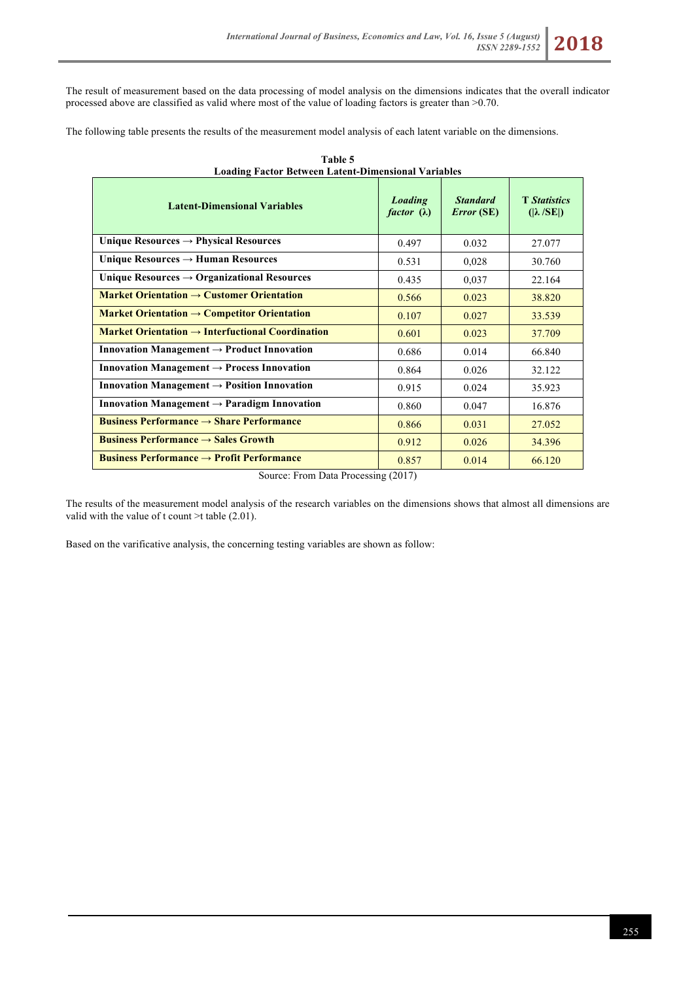The result of measurement based on the data processing of model analysis on the dimensions indicates that the overall indicator processed above are classified as valid where most of the value of loading factors is greater than >0.70.

The following table presents the results of the measurement model analysis of each latent variable on the dimensions.

| Loading Pactur Detween Latent-Dimensional Variables                     |                                      |                                      |                                           |  |
|-------------------------------------------------------------------------|--------------------------------------|--------------------------------------|-------------------------------------------|--|
| <b>Latent-Dimensional Variables</b>                                     | <b>Loading</b><br>factor $(\lambda)$ | <b>Standard</b><br><b>Error</b> (SE) | <b>T</b> Statistics<br>$( \lambda / SE )$ |  |
| Unique Resources $\rightarrow$ Physical Resources                       | 0.497                                | 0.032                                | 27.077                                    |  |
| Unique Resources $\rightarrow$ Human Resources                          | 0.531                                | 0,028                                | 30.760                                    |  |
| Unique Resources $\rightarrow$ Organizational Resources                 | 0.435                                | 0,037                                | 22.164                                    |  |
| Market Orientation $\rightarrow$ Customer Orientation                   | 0.566                                | 0.023                                | 38.820                                    |  |
| Market Orientation $\rightarrow$ Competitor Orientation                 | 0.107                                | 0.027                                | 33.539                                    |  |
| Market Orientation $\rightarrow$ Interfuctional Coordination            | 0.601                                | 0.023                                | 37.709                                    |  |
| Innovation Management $\rightarrow$ Product Innovation                  | 0.686                                | 0.014                                | 66.840                                    |  |
| Innovation Management $\rightarrow$ Process Innovation                  | 0.864                                | 0.026                                | 32.122                                    |  |
| Innovation Management $\rightarrow$ Position Innovation                 | 0.915                                | 0.024                                | 35.923                                    |  |
| Innovation Management $\rightarrow$ Paradigm Innovation                 | 0.860                                | 0.047                                | 16.876                                    |  |
| <b>Business Performance <math>\rightarrow</math> Share Performance</b>  | 0.866                                | 0.031                                | 27.052                                    |  |
| <b>Business Performance <math>\rightarrow</math> Sales Growth</b>       | 0.912                                | 0.026                                | 34.396                                    |  |
| <b>Business Performance <math>\rightarrow</math> Profit Performance</b> | 0.857                                | 0.014                                | 66.120                                    |  |

**Table 5 Loading Factor Between Latent-Dimensional Variables**

Source: From Data Processing (2017)

The results of the measurement model analysis of the research variables on the dimensions shows that almost all dimensions are valid with the value of t count >t table (2.01).

Based on the varificative analysis, the concerning testing variables are shown as follow: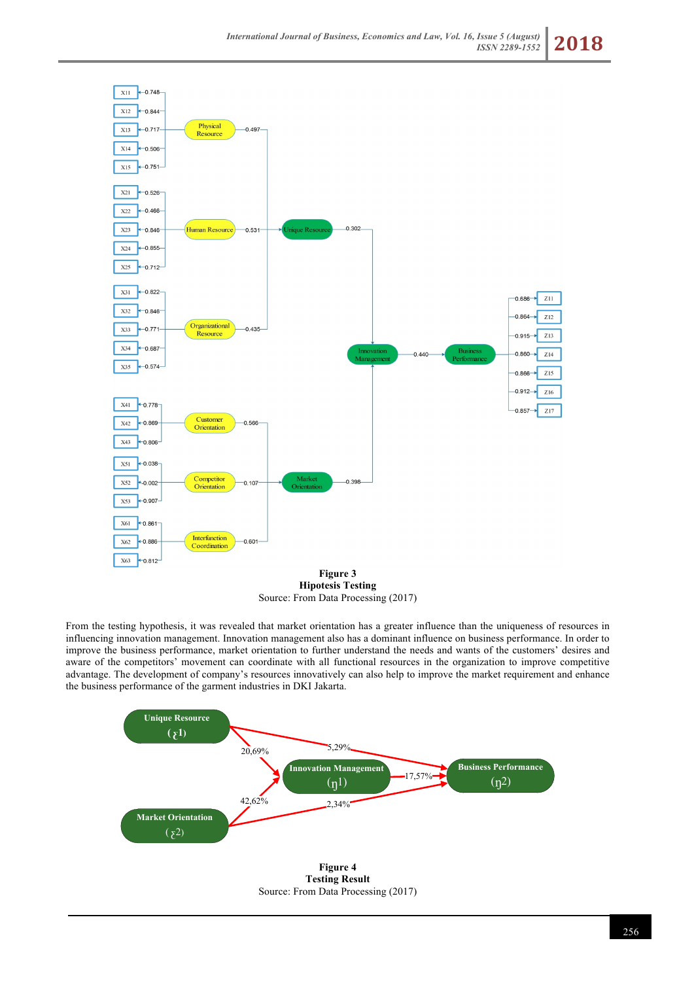

**Hipotesis Testing** Source: From Data Processing (2017)

From the testing hypothesis, it was revealed that market orientation has a greater influence than the uniqueness of resources in influencing innovation management. Innovation management also has a dominant influence on business performance. In order to improve the business performance, market orientation to further understand the needs and wants of the customers' desires and aware of the competitors' movement can coordinate with all functional resources in the organization to improve competitive advantage. The development of company's resources innovatively can also help to improve the market requirement and enhance the business performance of the garment industries in DKI Jakarta.



Source: From Data Processing (2017)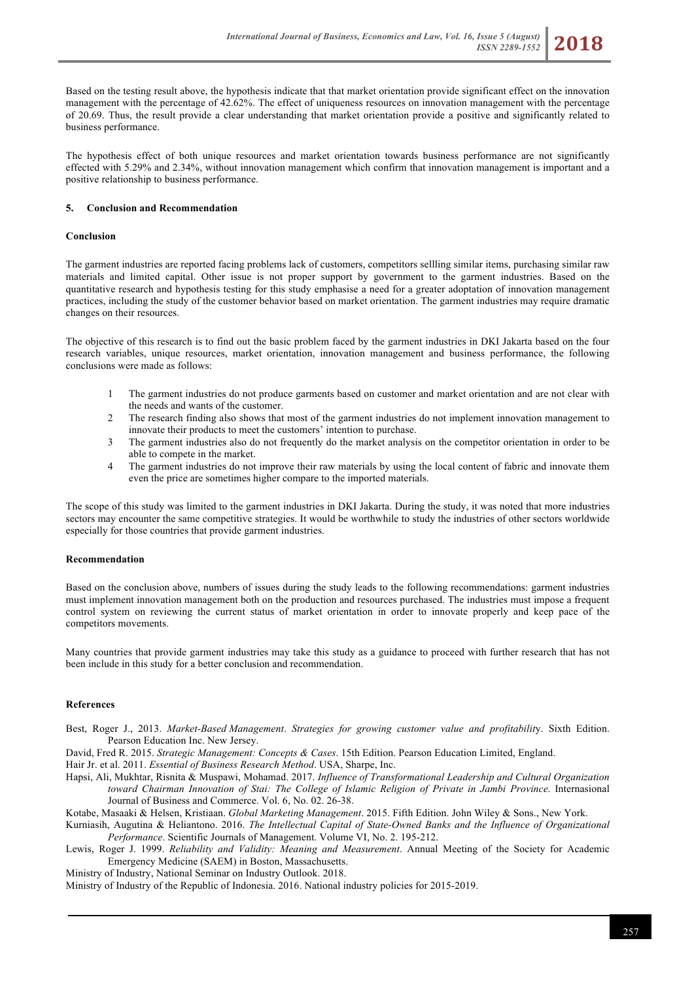

Based on the testing result above, the hypothesis indicate that that market orientation provide significant effect on the innovation management with the percentage of 42.62%. The effect of uniqueness resources on innovation management with the percentage of 20.69. Thus, the result provide a clear understanding that market orientation provide a positive and significantly related to business performance.

The hypothesis effect of both unique resources and market orientation towards business performance are not significantly effected with 5.29% and 2.34%, without innovation management which confirm that innovation management is important and a positive relationship to business performance.

## **5. Conclusion and Recommendation**

## **Conclusion**

The garment industries are reported facing problems lack of customers, competitors sellling similar items, purchasing similar raw materials and limited capital. Other issue is not proper support by government to the garment industries. Based on the quantitative research and hypothesis testing for this study emphasise a need for a greater adoptation of innovation management practices, including the study of the customer behavior based on market orientation. The garment industries may require dramatic changes on their resources.

The objective of this research is to find out the basic problem faced by the garment industries in DKI Jakarta based on the four research variables, unique resources, market orientation, innovation management and business performance, the following conclusions were made as follows:

- 1 The garment industries do not produce garments based on customer and market orientation and are not clear with the needs and wants of the customer.
- 2 The research finding also shows that most of the garment industries do not implement innovation management to innovate their products to meet the customers' intention to purchase.
- 3 The garment industries also do not frequently do the market analysis on the competitor orientation in order to be able to compete in the market.
- 4 The garment industries do not improve their raw materials by using the local content of fabric and innovate them even the price are sometimes higher compare to the imported materials.

The scope of this study was limited to the garment industries in DKI Jakarta. During the study, it was noted that more industries sectors may encounter the same competitive strategies. It would be worthwhile to study the industries of other sectors worldwide especially for those countries that provide garment industries.

#### **Recommendation**

Based on the conclusion above, numbers of issues during the study leads to the following recommendations: garment industries must implement innovation management both on the production and resources purchased. The industries must impose a frequent control system on reviewing the current status of market orientation in order to innovate properly and keep pace of the competitors movements.

Many countries that provide garment industries may take this study as a guidance to proceed with further research that has not been include in this study for a better conclusion and recommendation.

#### **References**

Best, Roger J., 2013. *Market-Based Management*. *Strategies for growing customer value and profitabilit*y. Sixth Edition. Pearson Education Inc. New Jersey.

David, Fred R. 2015. *Strategic Management: Concepts & Cases*. 15th Edition. Pearson Education Limited, England.

Hair Jr. et al. 2011. *Essential of Business Research Method*. USA, Sharpe, Inc.

Hapsi, Ali, Mukhtar, Risnita & Muspawi, Mohamad. 2017. *Influence of Transformational Leadership and Cultural Organization toward Chairman Innovation of Stai: The College of Islamic Religion of Private in Jambi Province*. Internasional Journal of Business and Commerce. Vol. 6, No. 02. 26-38.

Kotabe, Masaaki & Helsen, Kristiaan. *Global Marketing Management*. 2015. Fifth Edition. John Wiley & Sons., New York.

Kurniasih, Augutina & Heliantono. 2016. *The Intellectual Capital of State-Owned Banks and the Influence of Organizational Performance*. Scientific Journals of Management. Volume VI, No. 2. 195-212.

Lewis, Roger J. 1999. *Reliability and Validity: Meaning and Measurement*. Annual Meeting of the Society for Academic Emergency Medicine (SAEM) in Boston, Massachusetts.

Ministry of Industry, National Seminar on Industry Outlook. 2018.

Ministry of Industry of the Republic of Indonesia. 2016. National industry policies for 2015-2019.